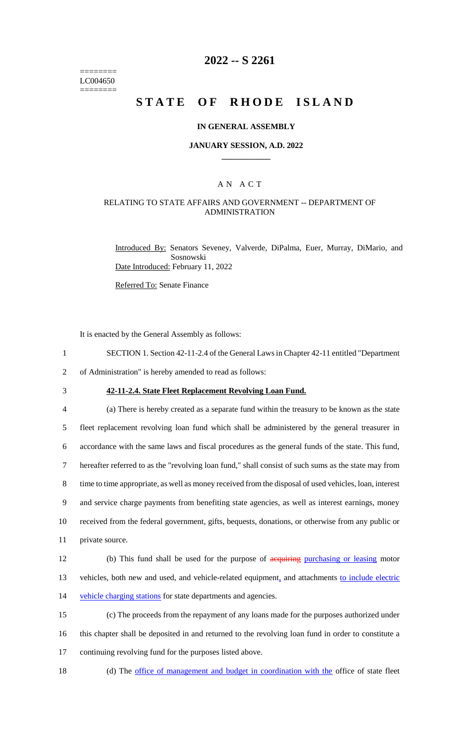======== LC004650 ========

## **2022 -- S 2261**

# **STATE OF RHODE ISLAND**

#### **IN GENERAL ASSEMBLY**

#### **JANUARY SESSION, A.D. 2022 \_\_\_\_\_\_\_\_\_\_\_\_**

### A N A C T

### RELATING TO STATE AFFAIRS AND GOVERNMENT -- DEPARTMENT OF ADMINISTRATION

Introduced By: Senators Seveney, Valverde, DiPalma, Euer, Murray, DiMario, and Sosnowski Date Introduced: February 11, 2022

Referred To: Senate Finance

It is enacted by the General Assembly as follows:

1 SECTION 1. Section 42-11-2.4 of the General Laws in Chapter 42-11 entitled "Department

2 of Administration" is hereby amended to read as follows:

3 **42-11-2.4. State Fleet Replacement Revolving Loan Fund.**

 (a) There is hereby created as a separate fund within the treasury to be known as the state fleet replacement revolving loan fund which shall be administered by the general treasurer in accordance with the same laws and fiscal procedures as the general funds of the state. This fund, hereafter referred to as the "revolving loan fund," shall consist of such sums as the state may from time to time appropriate, as well as money received from the disposal of used vehicles, loan, interest and service charge payments from benefiting state agencies, as well as interest earnings, money received from the federal government, gifts, bequests, donations, or otherwise from any public or private source. 12 (b) This fund shall be used for the purpose of acquiring purchasing or leasing motor 13 vehicles, both new and used, and vehicle-related equipment, and attachments to include electric

14 vehicle charging stations for state departments and agencies.

15 (c) The proceeds from the repayment of any loans made for the purposes authorized under 16 this chapter shall be deposited in and returned to the revolving loan fund in order to constitute a 17 continuing revolving fund for the purposes listed above.

18 (d) The <u>office of management and budget in coordination with the</u> office of state fleet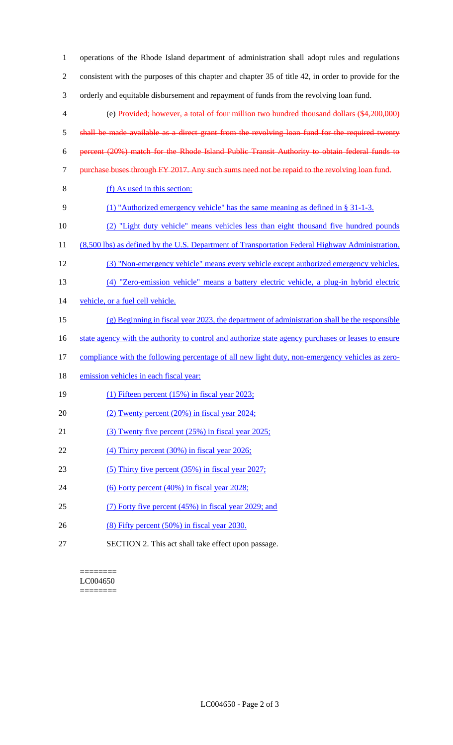| $\mathbf{1}$   | operations of the Rhode Island department of administration shall adopt rules and regulations        |
|----------------|------------------------------------------------------------------------------------------------------|
| $\overline{2}$ | consistent with the purposes of this chapter and chapter 35 of title 42, in order to provide for the |
| 3              | orderly and equitable disbursement and repayment of funds from the revolving loan fund.              |
| $\overline{4}$ | (e) Provided; however, a total of four million two hundred thousand dollars (\$4,200,000)            |
| $\mathfrak{S}$ | shall be made available as a direct grant from the revolving loan fund for the required twenty       |
| 6              | percent (20%) match for the Rhode Island Public Transit Authority to obtain federal funds to         |
| $\tau$         | purchase buses through FY 2017. Any such sums need not be repaid to the revolving loan fund.         |
| $8\,$          | (f) As used in this section:                                                                         |
| 9              | (1) "Authorized emergency vehicle" has the same meaning as defined in $\S 31-1-3$ .                  |
| 10             | (2) "Light duty vehicle" means vehicles less than eight thousand five hundred pounds                 |
| 11             | (8,500 lbs) as defined by the U.S. Department of Transportation Federal Highway Administration.      |
| 12             | (3) "Non-emergency vehicle" means every vehicle except authorized emergency vehicles.                |
| 13             | (4) "Zero-emission vehicle" means a battery electric vehicle, a plug-in hybrid electric              |
| 14             | vehicle, or a fuel cell vehicle.                                                                     |
| 15             | $(g)$ Beginning in fiscal year 2023, the department of administration shall be the responsible       |
| 16             | state agency with the authority to control and authorize state agency purchases or leases to ensure  |
| 17             | compliance with the following percentage of all new light duty, non-emergency vehicles as zero-      |
| 18             | emission vehicles in each fiscal year:                                                               |
| 19             | (1) Fifteen percent $(15\%)$ in fiscal year 2023;                                                    |
| 20             | $(2)$ Twenty percent $(20%)$ in fiscal year $2024$ ;                                                 |
| 21             | (3) Twenty five percent (25%) in fiscal year 2025;                                                   |
| 22             | $(4)$ Thirty percent $(30\%)$ in fiscal year 2026;                                                   |
| 23             | $(5)$ Thirty five percent $(35%)$ in fiscal year 2027;                                               |
| 24             | (6) Forty percent $(40\%)$ in fiscal year 2028;                                                      |
| 25             | (7) Forty five percent (45%) in fiscal year 2029; and                                                |
| 26             | $(8)$ Fifty percent $(50\%)$ in fiscal year 2030.                                                    |
| 27             | SECTION 2. This act shall take effect upon passage.                                                  |

 $=$ LC004650 ========